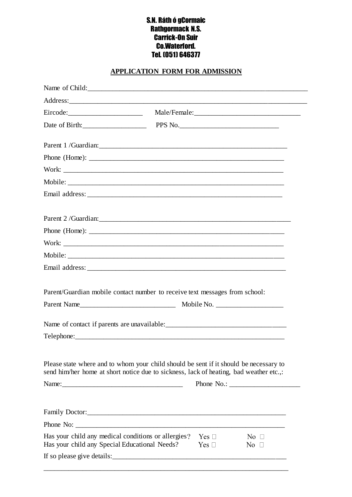## S.N. Ráth ó gCormaic Rathgormack N.S. Carrick-On Suir Co.Waterford. Tel. (051) 646377

## **APPLICATION FORM FOR ADMISSION**

| Date of Birth: PPS No. 2008 PPS No.                                                                                                                                             |                          |                              |
|---------------------------------------------------------------------------------------------------------------------------------------------------------------------------------|--------------------------|------------------------------|
|                                                                                                                                                                                 |                          |                              |
| Phone (Home): $\overline{\phantom{a}}$                                                                                                                                          |                          |                              |
|                                                                                                                                                                                 |                          |                              |
|                                                                                                                                                                                 |                          |                              |
|                                                                                                                                                                                 |                          |                              |
|                                                                                                                                                                                 |                          |                              |
|                                                                                                                                                                                 |                          |                              |
|                                                                                                                                                                                 |                          |                              |
|                                                                                                                                                                                 |                          |                              |
|                                                                                                                                                                                 |                          |                              |
|                                                                                                                                                                                 |                          |                              |
| Parent/Guardian mobile contact number to receive text messages from school:                                                                                                     |                          |                              |
|                                                                                                                                                                                 |                          |                              |
|                                                                                                                                                                                 |                          |                              |
| Please state where and to whom your child should be sent if it should be necessary to<br>send him/her home at short notice due to sickness, lack of heating, bad weather etc.,: |                          |                              |
|                                                                                                                                                                                 |                          |                              |
|                                                                                                                                                                                 |                          |                              |
| Has your child any medical conditions or allergies?<br>Has your child any Special Educational Needs?                                                                            | Yes $\Box$<br>Yes $\Box$ | No $\square$<br>No $\square$ |
|                                                                                                                                                                                 |                          |                              |
|                                                                                                                                                                                 |                          |                              |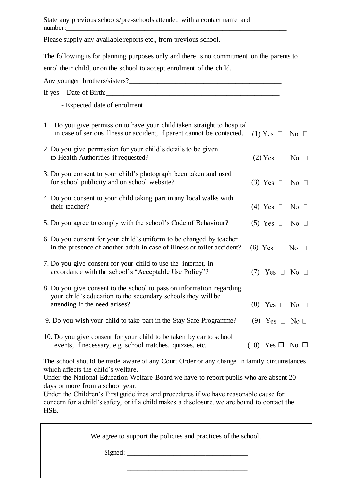State any previous schools/pre-schools attended with a contact name and number:\_\_\_\_\_\_\_\_\_\_\_\_\_\_\_\_\_\_\_\_\_\_\_\_\_\_\_\_\_\_\_\_\_\_\_\_\_\_\_\_\_\_\_\_\_\_\_\_\_\_\_\_\_\_\_\_\_\_\_\_\_\_

Please supply any available reports etc., from previous school.

The following is for planning purposes only and there is no commitment on the parents to enrol their child, or on the school to accept enrolment of the child.

| If $yes - Date of Birth:$                                                                                                                                              |                             |              |
|------------------------------------------------------------------------------------------------------------------------------------------------------------------------|-----------------------------|--------------|
|                                                                                                                                                                        |                             |              |
| 1. Do you give permission to have your child taken straight to hospital<br>in case of serious illness or accident, if parent cannot be contacted.                      | $(1)$ Yes $\Box$            | No $\square$ |
| 2. Do you give permission for your child's details to be given<br>to Health Authorities if requested?                                                                  | $(2)$ Yes $\Box$            | No $\square$ |
| 3. Do you consent to your child's photograph been taken and used<br>for school publicity and on school website?                                                        | $(3)$ Yes $\Box$            | No $\square$ |
| 4. Do you consent to your child taking part in any local walks with<br>their teacher?                                                                                  | $(4)$ Yes $\Box$            | No $\square$ |
| 5. Do you agree to comply with the school's Code of Behaviour?                                                                                                         | $(5)$ Yes $\Box$            | No $\square$ |
| 6. Do you consent for your child's uniform to be changed by teacher<br>in the presence of another adult in case of illness or toilet accident?                         | $(6)$ Yes $\Box$            | No $\Box$    |
| 7. Do you give consent for your child to use the internet, in<br>accordance with the school's "Acceptable Use Policy"?                                                 | $(7)$ Yes $\Box$ No $\Box$  |              |
| 8. Do you give consent to the school to pass on information regarding<br>your child's education to the secondary schools they will be<br>attending if the need arises? | $(8)$ Yes $\Box$ No $\Box$  |              |
| 9. Do you wish your child to take part in the Stay Safe Programme?                                                                                                     | (9) Yes $\Box$ No $\Box$    |              |
| 10. Do you give consent for your child to be taken by car to school<br>events, if necessary, e.g. school matches, quizzes, etc.                                        | $(10)$ Yes $\Box$ No $\Box$ |              |

The school should be made aware of any Court Order or any change in family circumstances which affects the child's welfare.

Under the National Education Welfare Board we have to report pupils who are absent 20 days or more from a school year.

Under the Children's First guidelines and procedures if we have reasonable cause for concern for a child's safety, or if a child makes a disclosure, we are bound to contact the HSE.

We agree to support the policies and practices of the school. Signed: \_\_\_\_\_\_\_\_\_\_\_\_\_\_\_\_\_\_\_\_\_\_\_\_\_\_\_\_\_\_\_\_\_\_  $\overline{\phantom{a}}$  ,  $\overline{\phantom{a}}$  ,  $\overline{\phantom{a}}$  ,  $\overline{\phantom{a}}$  ,  $\overline{\phantom{a}}$  ,  $\overline{\phantom{a}}$  ,  $\overline{\phantom{a}}$  ,  $\overline{\phantom{a}}$  ,  $\overline{\phantom{a}}$  ,  $\overline{\phantom{a}}$  ,  $\overline{\phantom{a}}$  ,  $\overline{\phantom{a}}$  ,  $\overline{\phantom{a}}$  ,  $\overline{\phantom{a}}$  ,  $\overline{\phantom{a}}$  ,  $\overline{\phantom{a}}$